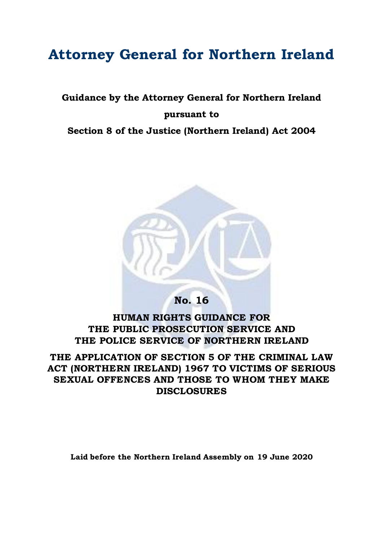# **Attorney General for Northern Ireland**

# **Guidance by the Attorney General for Northern Ireland**

# **pursuant to**

**Section 8 of the Justice (Northern Ireland) Act 2004**



**HUMAN RIGHTS GUIDANCE FOR THE PUBLIC PROSECUTION SERVICE AND THE POLICE SERVICE OF NORTHERN IRELAND**

**THE APPLICATION OF SECTION 5 OF THE CRIMINAL LAW ACT (NORTHERN IRELAND) 1967 TO VICTIMS OF SERIOUS SEXUAL OFFENCES AND THOSE TO WHOM THEY MAKE DISCLOSURES**

**Laid before the Northern Ireland Assembly on 19 June 2020**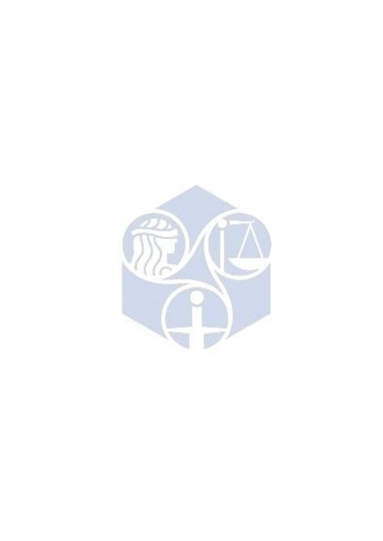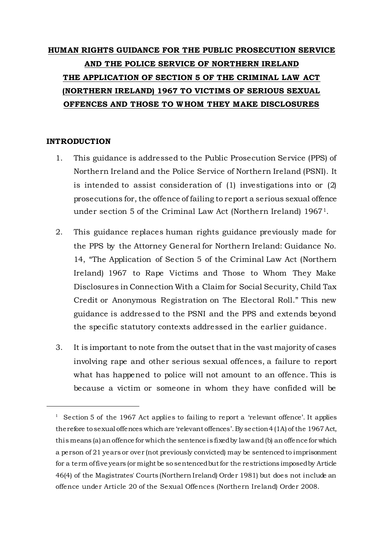# **HUMAN RIGHTS GUIDANCE FOR THE PUBLIC PROSECUTION SERVICE AND THE POLICE SERVICE OF NORTHERN IRELAND THE APPLICATION OF SECTION 5 OF THE CRIMINAL LAW ACT (NORTHERN IRELAND) 1967 TO VICTIMS OF SERIOUS SEXUAL OFFENCES AND THOSE TO WHOM THEY MAKE DISCLOSURES**

## **INTRODUCTION**

 $\overline{a}$ 

- 1. This guidance is addressed to the Public Prosecution Service (PPS) of Northern Ireland and the Police Service of Northern Ireland (PSNI). It is intended to assist consideration of (1) investigations into or (2) prosecutions for, the offence of failing to report a serious sexual offence under section 5 of the Criminal Law Act (Northern Ireland) 1967<sup>1</sup>.
- 2. This guidance replaces human rights guidance previously made for the PPS by the Attorney General for Northern Ireland: Guidance No. 14, "The Application of Section 5 of the Criminal Law Act (Northern Ireland) 1967 to Rape Victims and Those to Whom They Make Disclosures in Connection With a Claim for Social Security, Child Tax Credit or Anonymous Registration on The Electoral Roll." This new guidance is addressed to the PSNI and the PPS and extends beyond the specific statutory contexts addressed in the earlier guidance.
- 3. It is important to note from the outset that in the vast majority of cases involving rape and other serious sexual offences, a failure to report what has happened to police will not amount to an offence. This is because a victim or someone in whom they have confided will be

<sup>&</sup>lt;sup>1</sup> Section 5 of the 1967 Act applies to failing to report a 'relevant offence'. It applies therefore to sexual offences which are 'relevant offences'. By section 4 (1A) of the 1967 Act, this means (a) an offence for which the sentence is fixed by law and (b) an offence for which a person of 21 years or over (not previously convicted) may be sentenced to imprisonment for a term of five years (or might be so sentenced but for the restrictions imposed by Article 46(4) of the Magistrates' Courts (Northern Ireland) Order 1981) but does not include an offence under Article 20 of the Sexual Offences (Northern Ireland) Order 2008.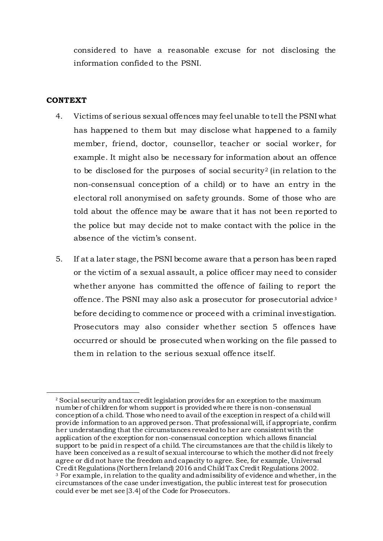considered to have a reasonable excuse for not disclosing the information confided to the PSNI.

#### **CONTEXT**

1

- 4. Victims of serious sexual offences may feel unable to tell the PSNI what has happened to them but may disclose what happened to a family member, friend, doctor, counsellor, teacher or social worker, for example. It might also be necessary for information about an offence to be disclosed for the purposes of social security<sup>2</sup> (in relation to the non-consensual conception of a child) or to have an entry in the electoral roll anonymised on safety grounds. Some of those who are told about the offence may be aware that it has not been reported to the police but may decide not to make contact with the police in the absence of the victim's consent.
- 5. If at a later stage, the PSNI become aware that a person has been raped or the victim of a sexual assault, a police officer may need to consider whether anyone has committed the offence of failing to report the offence. The PSNI may also ask a prosecutor for prosecutorial advice <sup>3</sup> before deciding to commence or proceed with a criminal investigation. Prosecutors may also consider whether section 5 offences have occurred or should be prosecuted when working on the file passed to them in relation to the serious sexual offence itself.

<sup>2</sup> Social security and tax credit legislation provides for an exception to the maximum number of children for whom support is provided where there is non-consensual conception of a child. Those who need to avail of the exception in respect of a child will provide information to an approved person. That professional will, if appropriate, confirm her understanding that the circumstances revealed to her are consistent with the application of the exception for non-consensual conception which allows financial support to be paid in respect of a child. The circumstances are that the child is likely to have been conceived as a result of sexual intercourse to which the mother did not freely agree or did not have the freedom and capacity to agree. See, for example, Universal Credit Regulations (Northern Ireland) 2016 and Child Tax Credit Regulations 2002. <sup>3</sup> For example, in relation to the quality and admissibility of evidence and whether, in the circumstances of the case under investigation, the public interest test for prosecution could ever be met see [3.4] of the Code for Prosecutors.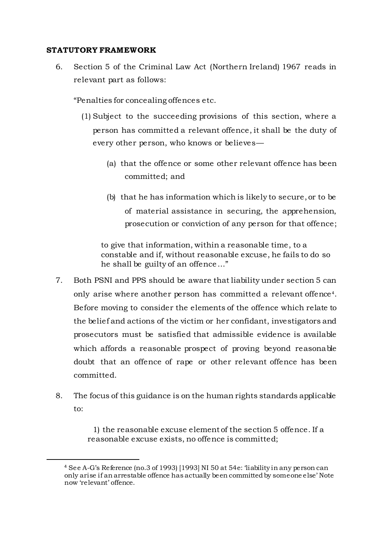#### **STATUTORY FRAMEWORK**

 $\overline{a}$ 

6. Section 5 of the Criminal Law Act (Northern Ireland) 1967 reads in relevant part as follows:

"Penalties for concealing offences etc.

- (1) Subject to the succeeding provisions of this section, where a person has committed a relevant offence, it shall be the duty of every other person, who knows or believes—
	- (a) that the offence or some other relevant offence has been committed; and
	- (b) that he has information which is likely to secure, or to be of material assistance in securing, the apprehension, prosecution or conviction of any person for that offence;

to give that information, within a reasonable time, to a constable and if, without reasonable excuse, he fails to do so he shall be guilty of an offence…"

- 7. Both PSNI and PPS should be aware that liability under section 5 can only arise where another person has committed a relevant offence<sup>4</sup>. Before moving to consider the elements of the offence which relate to the belief and actions of the victim or her confidant, investigators and prosecutors must be satisfied that admissible evidence is available which affords a reasonable prospect of proving beyond reasonable doubt that an offence of rape or other relevant offence has been committed.
- 8. The focus of this guidance is on the human rights standards applicable to:

1) the reasonable excuse element of the section 5 offence. If a reasonable excuse exists, no offence is committed;

<sup>4</sup> See A-G's Reference (no.3 of 1993) [1993] NI 50 at 54e: 'liability in any person can only arise if an arrestable offence has actually been committed by someone else' Note now 'relevant' offence.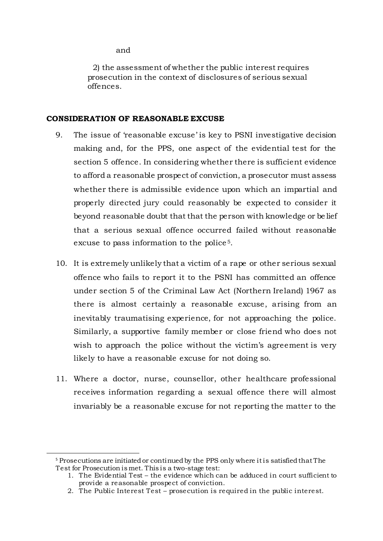and

 2) the assessment of whether the public interest requires prosecution in the context of disclosures of serious sexual offences.

#### **CONSIDERATION OF REASONABLE EXCUSE**

- 9. The issue of 'reasonable excuse' is key to PSNI investigative decision making and, for the PPS, one aspect of the evidential test for the section 5 offence. In considering whether there is sufficient evidence to afford a reasonable prospect of conviction, a prosecutor must assess whether there is admissible evidence upon which an impartial and properly directed jury could reasonably be expected to consider it beyond reasonable doubt that that the person with knowledge or be lief that a serious sexual offence occurred failed without reasonable excuse to pass information to the police <sup>5</sup>.
- 10. It is extremely unlikely that a victim of a rape or other serious sexual offence who fails to report it to the PSNI has committed an offence under section 5 of the Criminal Law Act (Northern Ireland) 1967 as there is almost certainly a reasonable excuse, arising from an inevitably traumatising experience, for not approaching the police. Similarly, a supportive family member or close friend who does not wish to approach the police without the victim's agreement is very likely to have a reasonable excuse for not doing so.
- 11. Where a doctor, nurse, counsellor, other healthcare professional receives information regarding a sexual offence there will almost invariably be a reasonable excuse for not reporting the matter to the

1

<sup>5</sup> Prosecutions are initiated or continued by the PPS only where it is satisfied that The Test for Prosecution is met. This is a two-stage test:

<sup>1.</sup> The Evidential Test – the evidence which can be adduced in court sufficient to provide a reasonable prospect of conviction.

<sup>2.</sup> The Public Interest Test – prosecution is required in the public interest.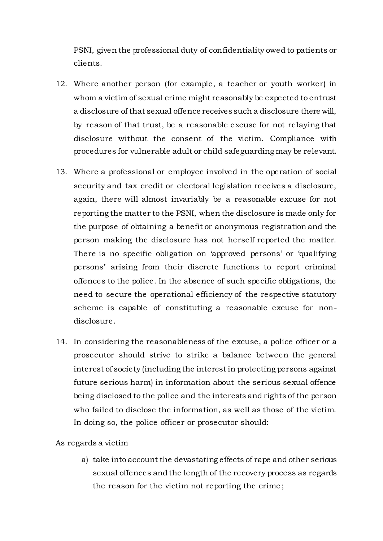PSNI, given the professional duty of confidentiality owed to patients or clients.

- 12. Where another person (for example, a teacher or youth worker) in whom a victim of sexual crime might reasonably be expected to entrust a disclosure of that sexual offence receives such a disclosure there will, by reason of that trust, be a reasonable excuse for not relaying that disclosure without the consent of the victim. Compliance with procedures for vulnerable adult or child safeguarding may be relevant.
- 13. Where a professional or employee involved in the operation of social security and tax credit or electoral legislation receives a disclosure, again, there will almost invariably be a reasonable excuse for not reporting the matter to the PSNI, when the disclosure is made only for the purpose of obtaining a benefit or anonymous registration and the person making the disclosure has not herself reported the matter. There is no specific obligation on 'approved persons' or 'qualifying persons' arising from their discrete functions to report criminal offences to the police. In the absence of such specific obligations, the need to secure the operational efficiency of the respective statutory scheme is capable of constituting a reasonable excuse for nondisclosure.
- 14. In considering the reasonableness of the excuse, a police officer or a prosecutor should strive to strike a balance between the general interest of society (including the interest in protecting persons against future serious harm) in information about the serious sexual offence being disclosed to the police and the interests and rights of the person who failed to disclose the information, as well as those of the victim. In doing so, the police officer or prosecutor should:

As regards a victim

a) take into account the devastating effects of rape and other serious sexual offences and the length of the recovery process as regards the reason for the victim not reporting the crime ;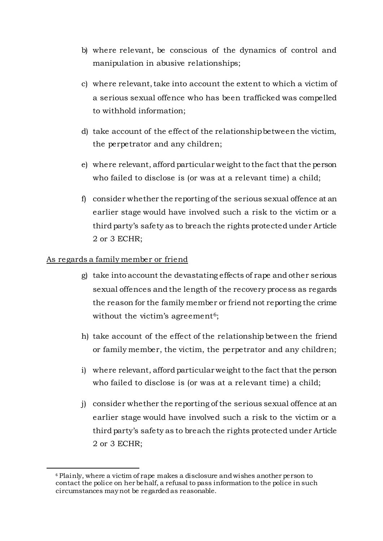- b) where relevant, be conscious of the dynamics of control and manipulation in abusive relationships;
- c) where relevant, take into account the extent to which a victim of a serious sexual offence who has been trafficked was compelled to withhold information;
- d) take account of the effect of the relationship between the victim, the perpetrator and any children;
- e) where relevant, afford particular weight to the fact that the person who failed to disclose is (or was at a relevant time) a child;
- f) consider whether the reporting of the serious sexual offence at an earlier stage would have involved such a risk to the victim or a third party's safety as to breach the rights protected under Article 2 or 3 ECHR;

# As regards a family member or friend

 $\overline{a}$ 

- g) take into account the devastating effects of rape and other serious sexual offences and the length of the recovery process as regards the reason for the family member or friend not reporting the crime without the victim's agreement<sup>6</sup>;
- h) take account of the effect of the relationship between the friend or family member, the victim, the perpetrator and any children;
- i) where relevant, afford particular weight to the fact that the person who failed to disclose is (or was at a relevant time) a child;
- j) consider whether the reporting of the serious sexual offence at an earlier stage would have involved such a risk to the victim or a third party's safety as to breach the rights protected under Article 2 or 3 ECHR;

<sup>6</sup> Plainly, where a victim of rape makes a disclosure and wishes another person to contact the police on her behalf, a refusal to pass information to the police in such circumstances may not be regarded as reasonable.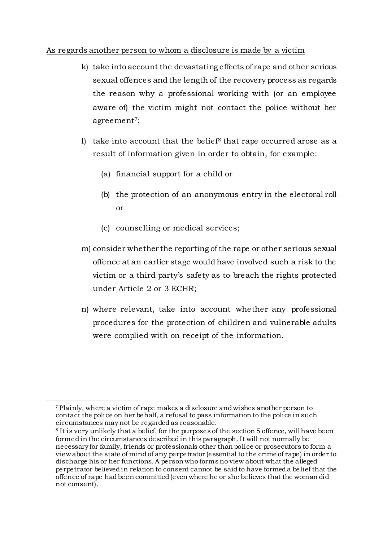# As regards another person to whom a disclosure is made by a victim

- k) take into account the devastating effects of rape and other serious sexual offences and the length of the recovery process as regards the reason why a professional working with (or an employee aware of) the victim might not contact the police without her agreement<sup>7</sup>;
- l) take into account that the belief<sup>8</sup> that rape occurred arose as a result of information given in order to obtain, for example:
	- (a) financial support for a child or
	- (b) the protection of an anonymous entry in the electoral roll or
	- (c) counselling or medical services;
- m) consider whether the reporting of the rape or other serious sexual offence at an earlier stage would have involved such a risk to the victim or a third party's safety as to breach the rights protected under Article 2 or 3 ECHR;
- n) where relevant, take into account whether any professional procedures for the protection of children and vulnerable adults were complied with on receipt of the information.

 $\overline{a}$ 

<sup>7</sup> Plainly, where a victim of rape makes a disclosure and wishes another person to contact the police on her behalf, a refusal to pass information to the police in such circumstances may not be regarded as reasonable.

<sup>&</sup>lt;sup>8</sup> It is very unlikely that a belief, for the purposes of the section 5 offence, will have been formed in the circumstances described in this paragraph. It will not normally be necessary for family, friends or professionals other than police or prosecutors to form a view about the state of mind of any perpetrator (essential to the crime of rape) in order to discharge his or her functions. A person who forms no view about what the alleged perpetrator believed in relation to consent cannot be said to have formed a belief that the offence of rape had been committed (even where he or she believes that the woman did not consent).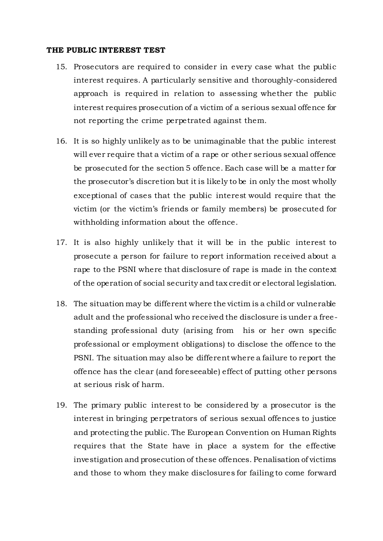#### **THE PUBLIC INTEREST TEST**

- 15. Prosecutors are required to consider in every case what the public interest requires. A particularly sensitive and thoroughly-considered approach is required in relation to assessing whether the public interest requires prosecution of a victim of a serious sexual offence for not reporting the crime perpetrated against them.
- 16. It is so highly unlikely as to be unimaginable that the public interest will ever require that a victim of a rape or other serious sexual offence be prosecuted for the section 5 offence. Each case will be a matter for the prosecutor's discretion but it is likely to be in only the most wholly exceptional of cases that the public interest would require that the victim (or the victim's friends or family members) be prosecuted for withholding information about the offence.
- 17. It is also highly unlikely that it will be in the public interest to prosecute a person for failure to report information received about a rape to the PSNI where that disclosure of rape is made in the context of the operation of social security and tax credit or electoral legislation.
- 18. The situation may be different where the victim is a child or vulnerable adult and the professional who received the disclosure is under a freestanding professional duty (arising from his or her own specific professional or employment obligations) to disclose the offence to the PSNI. The situation may also be different where a failure to report the offence has the clear (and foreseeable) effect of putting other persons at serious risk of harm.
- 19. The primary public interest to be considered by a prosecutor is the interest in bringing perpetrators of serious sexual offences to justice and protecting the public. The European Convention on Human Rights requires that the State have in place a system for the effective investigation and prosecution of these offences. Penalisation of victims and those to whom they make disclosures for failing to come forward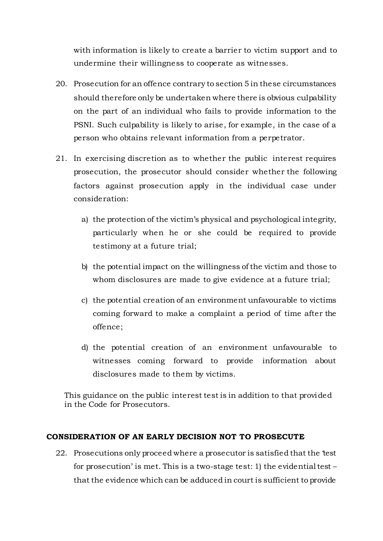with information is likely to create a barrier to victim support and to undermine their willingness to cooperate as witnesses.

- 20. Prosecution for an offence contrary to section 5 in these circumstances should therefore only be undertaken where there is obvious culpability on the part of an individual who fails to provide information to the PSNI. Such culpability is likely to arise, for example, in the case of a person who obtains relevant information from a perpetrator.
- 21. In exercising discretion as to whether the public interest requires prosecution, the prosecutor should consider whether the following factors against prosecution apply in the individual case under consideration:
	- a) the protection of the victim's physical and psychological integrity, particularly when he or she could be required to provide testimony at a future trial;
	- b) the potential impact on the willingness of the victim and those to whom disclosures are made to give evidence at a future trial;
	- c) the potential creation of an environment unfavourable to victims coming forward to make a complaint a period of time after the offence;
	- d) the potential creation of an environment unfavourable to witnesses coming forward to provide information about disclosures made to them by victims.

This guidance on the public interest test is in addition to that provided in the Code for Prosecutors.

# **CONSIDERATION OF AN EARLY DECISION NOT TO PROSECUTE**

22. Prosecutions only proceed where a prosecutor is satisfied that the 'test for prosecution' is met. This is a two-stage test: 1) the evidential test – that the evidence which can be adduced in court is sufficient to provide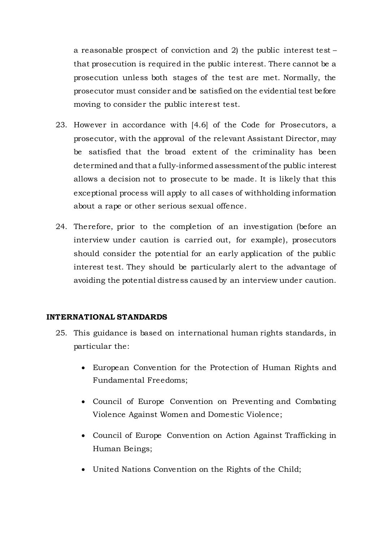a reasonable prospect of conviction and 2) the public interest test – that prosecution is required in the public interest. There cannot be a prosecution unless both stages of the test are met. Normally, the prosecutor must consider and be satisfied on the evidential test before moving to consider the public interest test.

- 23. However in accordance with [4.6] of the Code for Prosecutors, a prosecutor, with the approval of the relevant Assistant Director, may be satisfied that the broad extent of the criminality has been determined and that a fully-informed assessment of the public interest allows a decision not to prosecute to be made. It is likely that this exceptional process will apply to all cases of withholding information about a rape or other serious sexual offence.
- 24. Therefore, prior to the completion of an investigation (before an interview under caution is carried out, for example), prosecutors should consider the potential for an early application of the public interest test. They should be particularly alert to the advantage of avoiding the potential distress caused by an interview under caution.

#### **INTERNATIONAL STANDARDS**

- 25. This guidance is based on international human rights standards, in particular the:
	- European Convention for the Protection of Human Rights and Fundamental Freedoms;
	- Council of Europe Convention on Preventing and Combating Violence Against Women and Domestic Violence;
	- Council of Europe Convention on Action Against Trafficking in Human Beings;
	- United Nations Convention on the Rights of the Child;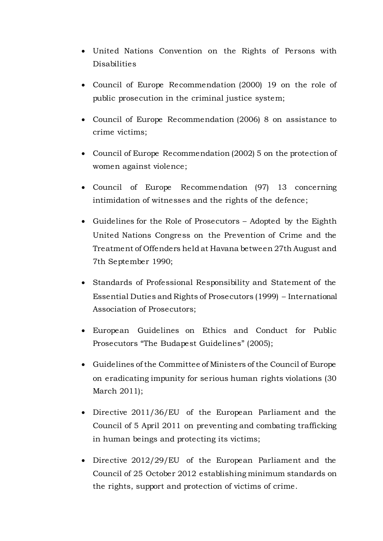- United Nations Convention on the Rights of Persons with Disabilities
- Council of Europe Recommendation (2000) 19 on the role of public prosecution in the criminal justice system;
- Council of Europe Recommendation (2006) 8 on assistance to crime victims;
- Council of Europe Recommendation (2002) 5 on the protection of women against violence;
- Council of Europe Recommendation (97) 13 concerning intimidation of witnesses and the rights of the defence;
- Guidelines for the Role of Prosecutors Adopted by the Eighth United Nations Congress on the Prevention of Crime and the Treatment of Offenders held at Havana between 27th August and 7th September 1990;
- Standards of Professional Responsibility and Statement of the Essential Duties and Rights of Prosecutors (1999) – International Association of Prosecutors;
- European Guidelines on Ethics and Conduct for Public Prosecutors "The Budapest Guidelines" (2005);
- Guidelines of the Committee of Ministers of the Council of Europe on eradicating impunity for serious human rights violations (30 March 2011);
- Directive 2011/36/EU of the European Parliament and the Council of 5 April 2011 on preventing and combating trafficking in human beings and protecting its victims;
- Directive 2012/29/EU of the European Parliament and the Council of 25 October 2012 establishing minimum standards on the rights, support and protection of victims of crime.